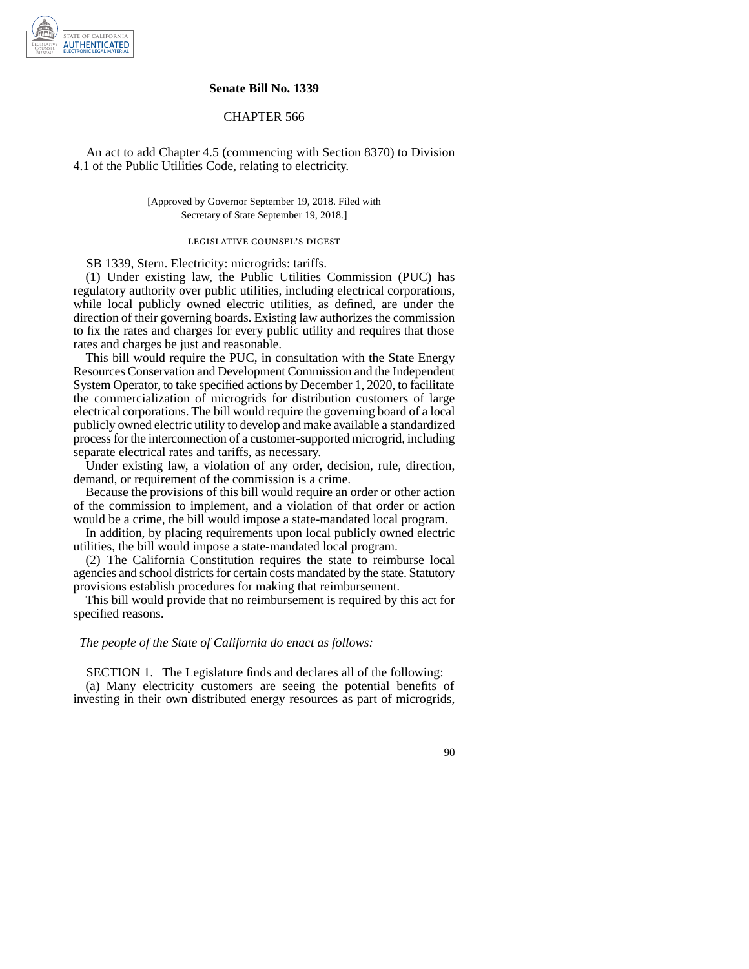

### **Senate Bill No. 1339**

### CHAPTER 566

An act to add Chapter 4.5 (commencing with Section 8370) to Division 4.1 of the Public Utilities Code, relating to electricity.

### [Approved by Governor September 19, 2018. Filed with Secretary of State September 19, 2018.]

# legislative counsel' s digest

SB 1339, Stern. Electricity: microgrids: tariffs.

(1) Under existing law, the Public Utilities Commission (PUC) has regulatory authority over public utilities, including electrical corporations, while local publicly owned electric utilities, as defined, are under the direction of their governing boards. Existing law authorizes the commission to fix the rates and charges for every public utility and requires that those rates and charges be just and reasonable.

This bill would require the PUC, in consultation with the State Energy Resources Conservation and Development Commission and the Independent System Operator, to take specified actions by December 1, 2020, to facilitate the commercialization of microgrids for distribution customers of large electrical corporations. The bill would require the governing board of a local publicly owned electric utility to develop and make available a standardized process for the interconnection of a customer-supported microgrid, including separate electrical rates and tariffs, as necessary.

Under existing law, a violation of any order, decision, rule, direction, demand, or requirement of the commission is a crime.

Because the provisions of this bill would require an order or other action of the commission to implement, and a violation of that order or action would be a crime, the bill would impose a state-mandated local program.

In addition, by placing requirements upon local publicly owned electric utilities, the bill would impose a state-mandated local program.

(2) The California Constitution requires the state to reimburse local agencies and school districts for certain costs mandated by the state. Statutory provisions establish procedures for making that reimbursement.

This bill would provide that no reimbursement is required by this act for specified reasons.

#### *The people of the State of California do enact as follows:*

SECTION 1. The Legislature finds and declares all of the following: (a) Many electricity customers are seeing the potential benefits of investing in their own distributed energy resources as part of microgrids,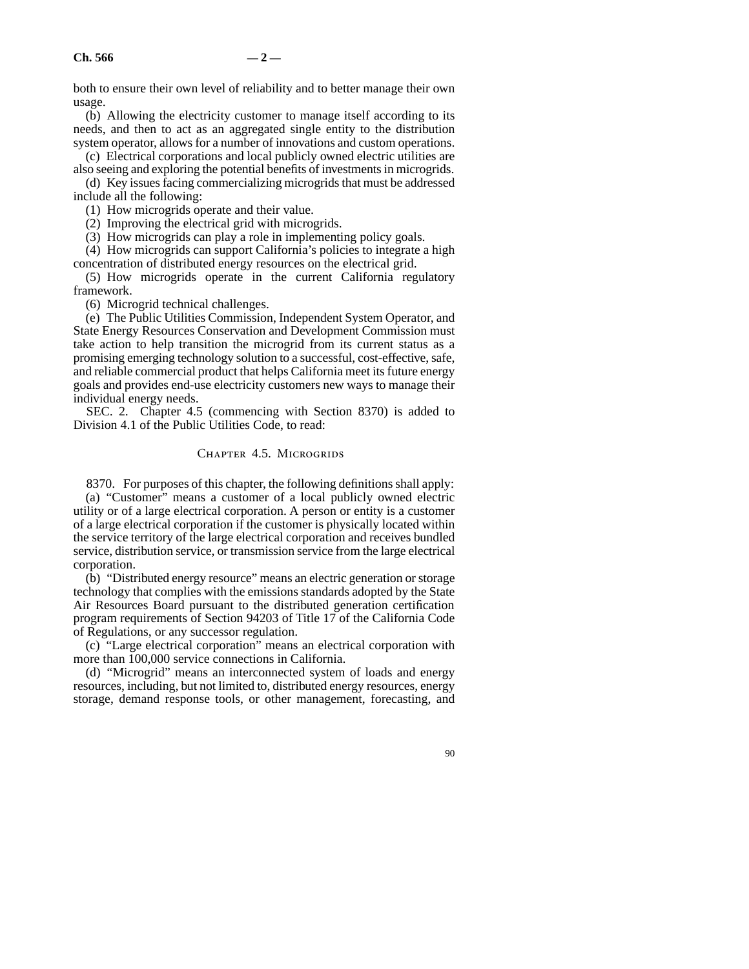both to ensure their own level of reliability and to better manage their own usage.

(b) Allowing the electricity customer to manage itself according to its needs, and then to act as an aggregated single entity to the distribution system operator, allows for a number of innovations and custom operations.

(c) Electrical corporations and local publicly owned electric utilities are also seeing and exploring the potential benefits of investments in microgrids.

(d) Key issues facing commercializing microgrids that must be addressed include all the following:

(1) How microgrids operate and their value.

(2) Improving the electrical grid with microgrids.

(3) How microgrids can play a role in implementing policy goals.

(4) How microgrids can support California's policies to integrate a high concentration of distributed energy resources on the electrical grid.

(5) How microgrids operate in the current California regulatory framework.

(6) Microgrid technical challenges.

(e) The Public Utilities Commission, Independent System Operator, and State Energy Resources Conservation and Development Commission must take action to help transition the microgrid from its current status as a promising emerging technology solution to a successful, cost-effective, safe, and reliable commercial product that helps California meet its future energy goals and provides end-use electricity customers new ways to manage their individual energy needs.

SEC. 2. Chapter 4.5 (commencing with Section 8370) is added to Division 4.1 of the Public Utilities Code, to read:

## Chapter 4.5. Microgrids

8370. For purposes of this chapter, the following definitions shall apply: (a) "Customer" means a customer of a local publicly owned electric utility or of a large electrical corporation. A person or entity is a customer of a large electrical corporation if the customer is physically located within the service territory of the large electrical corporation and receives bundled service, distribution service, or transmission service from the large electrical corporation.

(b) "Distributed energy resource" means an electric generation or storage technology that complies with the emissions standards adopted by the State Air Resources Board pursuant to the distributed generation certification program requirements of Section 94203 of Title 17 of the California Code of Regulations, or any successor regulation.

(c) "Large electrical corporation" means an electrical corporation with more than 100,000 service connections in California.

(d) "Microgrid" means an interconnected system of loads and energy resources, including, but not limited to, distributed energy resources, energy storage, demand response tools, or other management, forecasting, and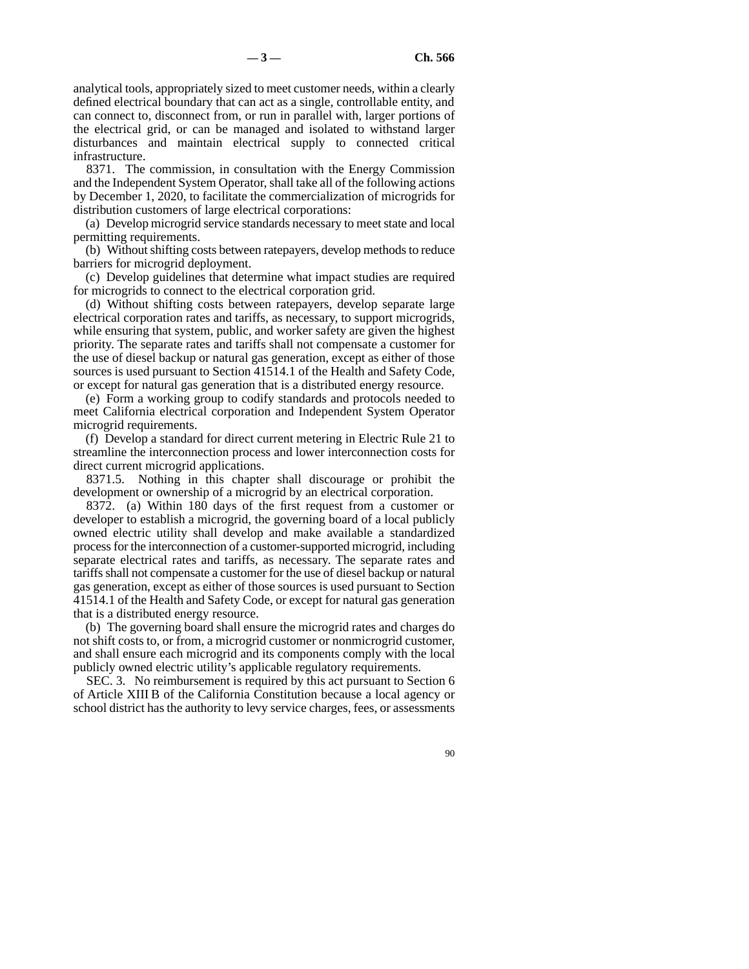analytical tools, appropriately sized to meet customer needs, within a clearly defined electrical boundary that can act as a single, controllable entity, and can connect to, disconnect from, or run in parallel with, larger portions of the electrical grid, or can be managed and isolated to withstand larger disturbances and maintain electrical supply to connected critical infrastructure.

8371. The commission, in consultation with the Energy Commission and the Independent System Operator, shall take all of the following actions by December 1, 2020, to facilitate the commercialization of microgrids for distribution customers of large electrical corporations:

(a) Develop microgrid service standards necessary to meet state and local permitting requirements.

(b) Without shifting costs between ratepayers, develop methods to reduce barriers for microgrid deployment.

(c) Develop guidelines that determine what impact studies are required for microgrids to connect to the electrical corporation grid.

(d) Without shifting costs between ratepayers, develop separate large electrical corporation rates and tariffs, as necessary, to support microgrids, while ensuring that system, public, and worker safety are given the highest priority. The separate rates and tariffs shall not compensate a customer for the use of diesel backup or natural gas generation, except as either of those sources is used pursuant to Section 41514.1 of the Health and Safety Code, or except for natural gas generation that is a distributed energy resource.

(e) Form a working group to codify standards and protocols needed to meet California electrical corporation and Independent System Operator microgrid requirements.

(f) Develop a standard for direct current metering in Electric Rule 21 to streamline the interconnection process and lower interconnection costs for direct current microgrid applications.

8371.5. Nothing in this chapter shall discourage or prohibit the development or ownership of a microgrid by an electrical corporation.

8372. (a) Within 180 days of the first request from a customer or developer to establish a microgrid, the governing board of a local publicly owned electric utility shall develop and make available a standardized process for the interconnection of a customer-supported microgrid, including separate electrical rates and tariffs, as necessary. The separate rates and tariffs shall not compensate a customer for the use of diesel backup or natural gas generation, except as either of those sources is used pursuant to Section 41514.1 of the Health and Safety Code, or except for natural gas generation that is a distributed energy resource.

(b) The governing board shall ensure the microgrid rates and charges do not shift costs to, or from, a microgrid customer or nonmicrogrid customer, and shall ensure each microgrid and its components comply with the local publicly owned electric utility's applicable regulatory requirements.

SEC. 3. No reimbursement is required by this act pursuant to Section 6 of Article XIII B of the California Constitution because a local agency or school district has the authority to levy service charges, fees, or assessments